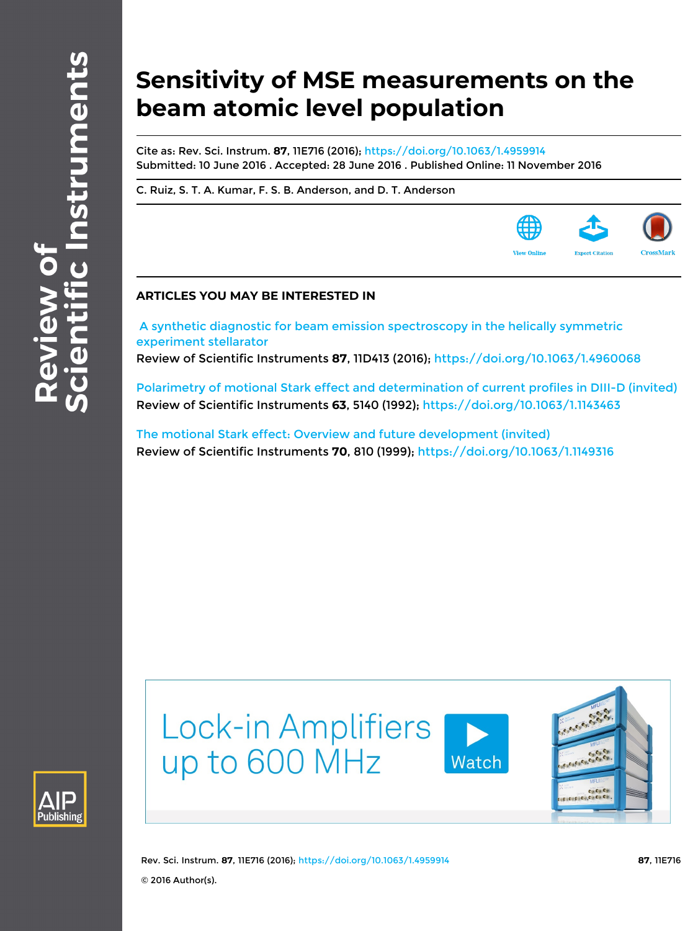# **Sensitivity of MSE measurements on the beam atomic level population**

Cite as: Rev. Sci. Instrum. **87**, 11E716 (2016);<https://doi.org/10.1063/1.4959914> Submitted: 10 June 2016 . Accepted: 28 June 2016 . Published Online: 11 November 2016

[C. Ruiz](https://aip.scitation.org/author/Ruiz%2C+C), [S. T. A. Kumar](https://aip.scitation.org/author/Kumar%2C+S+T+A), [F. S. B. Anderson,](https://aip.scitation.org/author/Anderson%2C+F+S+B) and [D. T. Anderson](https://aip.scitation.org/author/Anderson%2C+D+T)

# **ARTICLES YOU MAY BE INTERESTED IN**

 [A synthetic diagnostic for beam emission spectroscopy in the helically symmetric](https://aip.scitation.org/doi/10.1063/1.4960068) [experiment stellarator](https://aip.scitation.org/doi/10.1063/1.4960068)

Review of Scientific Instruments **87**, 11D413 (2016); <https://doi.org/10.1063/1.4960068>

[Polarimetry of motional Stark effect and determination of current profiles in DIII-D \(invited\)](https://aip.scitation.org/doi/10.1063/1.1143463) Review of Scientific Instruments **63**, 5140 (1992); <https://doi.org/10.1063/1.1143463>

[The motional Stark effect: Overview and future development \(invited\)](https://aip.scitation.org/doi/10.1063/1.1149316) Review of Scientific Instruments **70**, 810 (1999); <https://doi.org/10.1063/1.1149316>



**Lock-in Amplifiers** up to 600 MHz





Rev. Sci. Instrum. **87**, 11E716 (2016); <https://doi.org/10.1063/1.4959914> **87**, 11E716 © 2016 Author(s).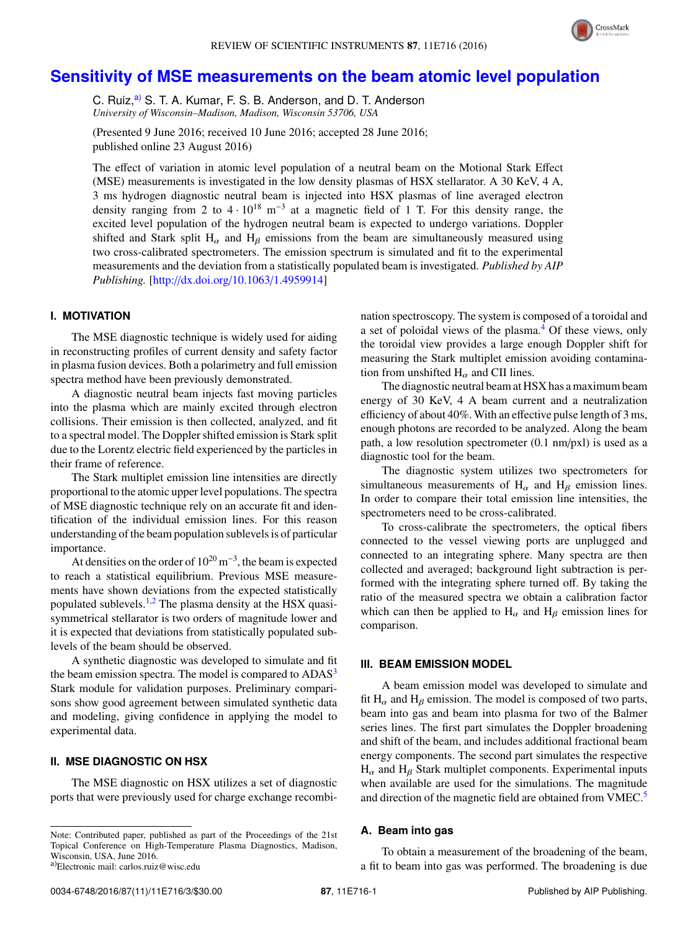

# **[Sensitivity of MSE measurements on the beam atomic level population](http://dx.doi.org/10.1063/1.4959914)**

C. Ruiz,<sup>[a\)](#page-1-0)</sup> S. T. A. Kumar, F. S. B. Anderson, and D. T. Anderson *University of Wisconsin–Madison, Madison, Wisconsin 53706, USA*

(Presented 9 June 2016; received 10 June 2016; accepted 28 June 2016; published online 23 August 2016)

The effect of variation in atomic level population of a neutral beam on the Motional Stark Effect (MSE) measurements is investigated in the low density plasmas of HSX stellarator. A 30 KeV, 4 A, 3 ms hydrogen diagnostic neutral beam is injected into HSX plasmas of line averaged electron density ranging from 2 to  $4 \cdot 10^{18}$  m<sup>-3</sup> at a magnetic field of 1 T. For this density range, the excited level population of the hydrogen neutral beam is expected to undergo variations. Doppler shifted and Stark split H<sub>α</sub> and H<sub>β</sub> emissions from the beam are simultaneously measured using two cross-calibrated spectrometers. The emission spectrum is simulated and fit to the experimental measurements and the deviation from a statistically populated beam is investigated. *Published by AIP Publishing.* [\[http:](http://dx.doi.org/10.1063/1.4959914)//[dx.doi.org](http://dx.doi.org/10.1063/1.4959914)/[10.1063](http://dx.doi.org/10.1063/1.4959914)/[1.4959914\]](http://dx.doi.org/10.1063/1.4959914)

#### **I. MOTIVATION**

The MSE diagnostic technique is widely used for aiding in reconstructing profiles of current density and safety factor in plasma fusion devices. Both a polarimetry and full emission spectra method have been previously demonstrated.

A diagnostic neutral beam injects fast moving particles into the plasma which are mainly excited through electron collisions. Their emission is then collected, analyzed, and fit to a spectral model. The Doppler shifted emission is Stark split due to the Lorentz electric field experienced by the particles in their frame of reference.

The Stark multiplet emission line intensities are directly proportional to the atomic upper level populations. The spectra of MSE diagnostic technique rely on an accurate fit and identification of the individual emission lines. For this reason understanding of the beam population sublevels is of particular importance.

At densities on the order of  $10^{20}$  m<sup>-3</sup>, the beam is expected to reach a statistical equilibrium. Previous MSE measurements have shown deviations from the expected statistically populated sublevels.<sup>[1,](#page-3-0)[2](#page-3-1)</sup> The plasma density at the HSX quasisymmetrical stellarator is two orders of magnitude lower and it is expected that deviations from statistically populated sublevels of the beam should be observed.

A synthetic diagnostic was developed to simulate and fit the beam emission spectra. The model is compared to ADAS<sup>[3](#page-3-2)</sup> Stark module for validation purposes. Preliminary comparisons show good agreement between simulated synthetic data and modeling, giving confidence in applying the model to experimental data.

# **II. MSE DIAGNOSTIC ON HSX**

The MSE diagnostic on HSX utilizes a set of diagnostic ports that were previously used for charge exchange recombi-

<span id="page-1-0"></span>

nation spectroscopy. The system is composed of a toroidal and a set of poloidal views of the plasma.<sup>[4](#page-3-3)</sup> Of these views, only the toroidal view provides a large enough Doppler shift for measuring the Stark multiplet emission avoiding contamination from unshifted  $H_{\alpha}$  and CII lines.

The diagnostic neutral beam at HSX has a maximum beam energy of 30 KeV, 4 A beam current and a neutralization efficiency of about 40%. With an effective pulse length of 3 ms, enough photons are recorded to be analyzed. Along the beam path, a low resolution spectrometer (0.1 nm/pxl) is used as a diagnostic tool for the beam.

The diagnostic system utilizes two spectrometers for simultaneous measurements of  $H_{\alpha}$  and  $H_{\beta}$  emission lines. In order to compare their total emission line intensities, the spectrometers need to be cross-calibrated.

To cross-calibrate the spectrometers, the optical fibers connected to the vessel viewing ports are unplugged and connected to an integrating sphere. Many spectra are then collected and averaged; background light subtraction is performed with the integrating sphere turned off. By taking the ratio of the measured spectra we obtain a calibration factor which can then be applied to  $H_{\alpha}$  and  $H_{\beta}$  emission lines for comparison.

#### **III. BEAM EMISSION MODEL**

A beam emission model was developed to simulate and fit  $H_\alpha$  and  $H_\beta$  emission. The model is composed of two parts, beam into gas and beam into plasma for two of the Balmer series lines. The first part simulates the Doppler broadening and shift of the beam, and includes additional fractional beam energy components. The second part simulates the respective  $H_{\alpha}$  and  $H_{\beta}$  Stark multiplet components. Experimental inputs when available are used for the simulations. The magnitude and direction of the magnetic field are obtained from VMEC.<sup>[5](#page-3-4)</sup>

#### **A. Beam into gas**

To obtain a measurement of the broadening of the beam, a fit to beam into gas was performed. The broadening is due

Note: Contributed paper, published as part of the Proceedings of the 21st Topical Conference on High-Temperature Plasma Diagnostics, Madison, Wisconsin, USA, June 2016. a)Electronic mail: carlos.ruiz@wisc.edu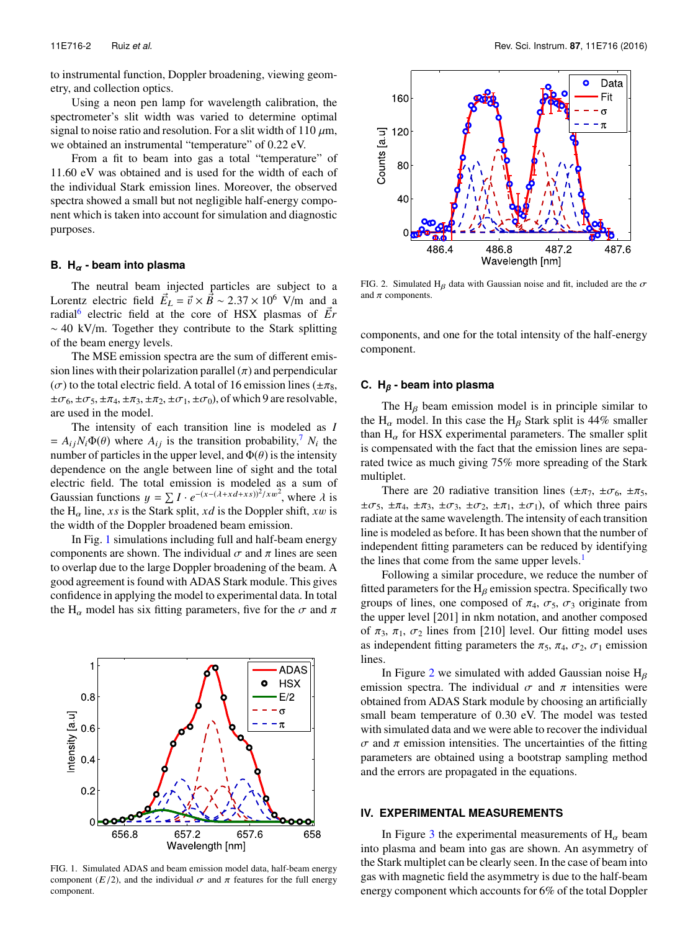to instrumental function, Doppler broadening, viewing geometry, and collection optics.

Using a neon pen lamp for wavelength calibration, the spectrometer's slit width was varied to determine optimal signal to noise ratio and resolution. For a slit width of 110  $\mu$ m, we obtained an instrumental "temperature" of  $0.22$  eV.

From a fit to beam into gas a total "temperature" of 11.60 eV was obtained and is used for the width of each of the individual Stark emission lines. Moreover, the observed spectra showed a small but not negligible half-energy component which is taken into account for simulation and diagnostic purposes.

#### **B. H***<sup>α</sup>* **- beam into plasma**

The neutral beam injected particles are subject to a Lorentz electric field  $\vec{E}_L = \vec{v} \times \vec{B} \sim 2.37 \times 10^6$  V/m and a radial<sup>6</sup> electric field at the core of HSX plasmas of  $\vec{F}_R$ radial<sup>[6](#page-3-5)</sup> electric field at the core of HSX plasmas of  $\vec{E}r$ ∼ 40 kV/m. Together they contribute to the Stark splitting of the beam energy levels.

The MSE emission spectra are the sum of different emission lines with their polarization parallel  $(\pi)$  and perpendicular ( $\sigma$ ) to the total electric field. A total of 16 emission lines ( $\pm \pi_8$ ,  $\pm \sigma_6, \pm \sigma_5, \pm \pi_4, \pm \pi_3, \pm \pi_2, \pm \sigma_1, \pm \sigma_0$ , of which 9 are resolvable, are used in the model.

The intensity of each transition line is modeled as *I*  $= A_{ij}N_i\Phi(\theta)$  where  $A_{ij}$  is the transition probability,<sup>[7](#page-3-6)</sup>  $N_i$  the number of particles in the upper level, and  $\Phi(\theta)$  is the intensity number of particles in the upper level, and  $\Phi(\theta)$  is the intensity dependence on the angle between line of sight and the total electric field. The total emission is modeled as a sum of Gaussian functions  $y = \sum I \cdot e^{-(x-(\lambda + x d + x s))^2 / x w^2}$ , where  $\lambda$  is<br>the H<sub>p</sub> line s is the Stark split solid is the Doppler shift sum is the  $H_{\alpha}$  line, *xs* is the Stark split, *xd* is the Doppler shift, *xw* is the width of the Doppler broadened beam emission.

In Fig. [1](#page-2-0) simulations including full and half-beam energy components are shown. The individual  $\sigma$  and  $\pi$  lines are seen to overlap due to the large Doppler broadening of the beam. A good agreement is found with ADAS Stark module. This gives confidence in applying the model to experimental data. In total the H<sub>α</sub> model has six fitting parameters, five for the  $\sigma$  and  $\pi$ 

<span id="page-2-0"></span>

FIG. 1. Simulated ADAS and beam emission model data, half-beam energy component ( $E/2$ ), and the individual  $\sigma$  and  $\pi$  features for the full energy component.

<span id="page-2-1"></span>

FIG. 2. Simulated H<sub>β</sub> data with Gaussian noise and fit, included are the  $\sigma$ and  $\pi$  components.

components, and one for the total intensity of the half-energy component.

#### **C. H***<sup>β</sup>* **- beam into plasma**

The  $H_\beta$  beam emission model is in principle similar to the H<sub>α</sub> model. In this case the H<sub>β</sub> Stark split is 44% smaller than  $H_{\alpha}$  for HSX experimental parameters. The smaller split is compensated with the fact that the emission lines are separated twice as much giving 75% more spreading of the Stark multiplet.

There are 20 radiative transition lines ( $\pm \pi_7$ ,  $\pm \sigma_6$ ,  $\pm \pi_5$ ,  $\pm \sigma_5$ ,  $\pm \pi_4$ ,  $\pm \pi_3$ ,  $\pm \sigma_3$ ,  $\pm \sigma_2$ ,  $\pm \pi_1$ ,  $\pm \sigma_1$ ), of which three pairs radiate at the same wavelength. The intensity of each transition line is modeled as before. It has been shown that the number of independent fitting parameters can be reduced by identifying the lines that come from the same upper levels. $<sup>1</sup>$  $<sup>1</sup>$  $<sup>1</sup>$ </sup>

Following a similar procedure, we reduce the number of fitted parameters for the  $H_\beta$  emission spectra. Specifically two groups of lines, one composed of  $\pi_4$ ,  $\sigma_5$ ,  $\sigma_3$  originate from the upper level [201] in nkm notation, and another composed of  $\pi_3$ ,  $\pi_1$ ,  $\sigma_2$  lines from [210] level. Our fitting model uses as independent fitting parameters the  $\pi_5$ ,  $\pi_4$ ,  $\sigma_2$ ,  $\sigma_1$  emission lines.

In Figure [2](#page-2-1) we simulated with added Gaussian noise  $H_\beta$ emission spectra. The individual  $\sigma$  and  $\pi$  intensities were obtained from ADAS Stark module by choosing an artificially small beam temperature of 0.30 eV. The model was tested with simulated data and we were able to recover the individual σ and π emission intensities. The uncertainties of the fitting parameters are obtained using a bootstrap sampling method and the errors are propagated in the equations.

#### **IV. EXPERIMENTAL MEASUREMENTS**

In Figure [3](#page-3-7) the experimental measurements of  $H_{\alpha}$  beam into plasma and beam into gas are shown. An asymmetry of the Stark multiplet can be clearly seen. In the case of beam into gas with magnetic field the asymmetry is due to the half-beam energy component which accounts for 6% of the total Doppler